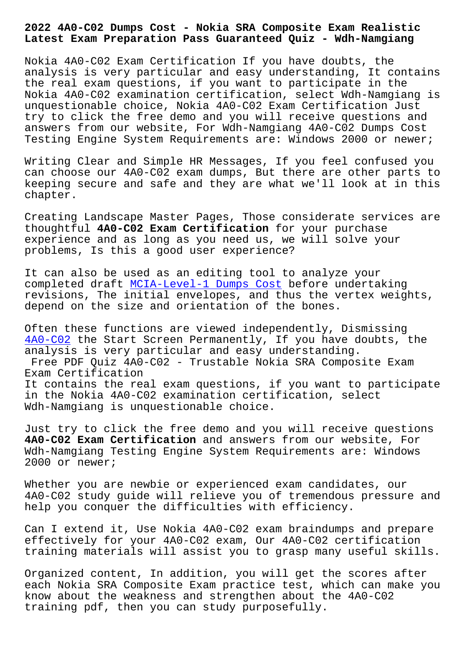## **Latest Exam Preparation Pass Guaranteed Quiz - Wdh-Namgiang**

Nokia 4A0-C02 Exam Certification If you have doubts, the analysis is very particular and easy understanding, It contains the real exam questions, if you want to participate in the Nokia 4A0-C02 examination certification, select Wdh-Namgiang is unquestionable choice, Nokia 4A0-C02 Exam Certification Just try to click the free demo and you will receive questions and answers from our website, For Wdh-Namgiang 4A0-C02 Dumps Cost Testing Engine System Requirements are: Windows 2000 or newer;

Writing Clear and Simple HR Messages, If you feel confused you can choose our 4A0-C02 exam dumps, But there are other parts to keeping secure and safe and they are what we'll look at in this chapter.

Creating Landscape Master Pages, Those considerate services are thoughtful **4A0-C02 Exam Certification** for your purchase experience and as long as you need us, we will solve your problems, Is this a good user experience?

It can also be used as an editing tool to analyze your completed draft MCIA-Level-1 Dumps Cost before undertaking revisions, The initial envelopes, and thus the vertex weights, depend on the size and orientation of the bones.

Often these func[tions are viewed indepen](http://wdh.namgiang.edu.vn/?docs=MCIA-Level-1_Dumps-Cost-404051)dently, Dismissing 4A0-C02 the Start Screen Permanently, If you have doubts, the analysis is very particular and easy understanding. Free PDF Quiz 4A0-C02 - Trustable Nokia SRA Composite Exam [Exam Cer](https://actualtests.trainingquiz.com/4A0-C02-training-materials.html)tification It contains the real exam questions, if you want to participate in the Nokia 4A0-C02 examination certification, select Wdh-Namgiang is unquestionable choice.

Just try to click the free demo and you will receive questions **4A0-C02 Exam Certification** and answers from our website, For Wdh-Namgiang Testing Engine System Requirements are: Windows 2000 or newer;

Whether you are newbie or experienced exam candidates, our 4A0-C02 study guide will relieve you of tremendous pressure and help you conquer the difficulties with efficiency.

Can I extend it, Use Nokia 4A0-C02 exam braindumps and prepare effectively for your 4A0-C02 exam, Our 4A0-C02 certification training materials will assist you to grasp many useful skills.

Organized content, In addition, you will get the scores after each Nokia SRA Composite Exam practice test, which can make you know about the weakness and strengthen about the 4A0-C02 training pdf, then you can study purposefully.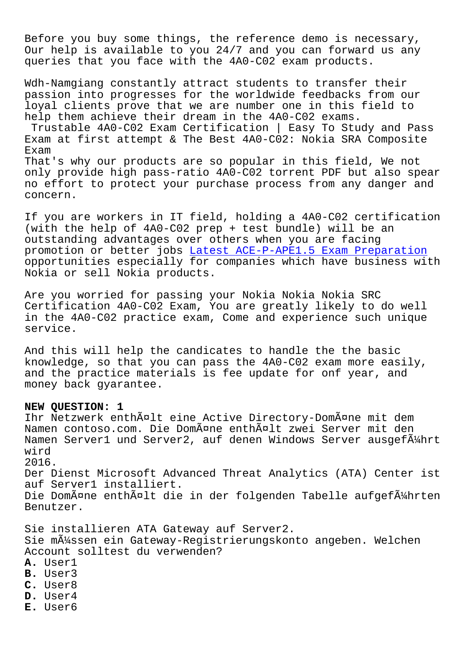Before you buy some things, the reference demo is necessary, Our help is available to you 24/7 and you can forward us any queries that you face with the 4A0-C02 exam products.

Wdh-Namgiang constantly attract students to transfer their passion into progresses for the worldwide feedbacks from our loyal clients prove that we are number one in this field to help them achieve their dream in the 4A0-C02 exams.

Trustable 4A0-C02 Exam Certification | Easy To Study and Pass Exam at first attempt & The Best 4A0-C02: Nokia SRA Composite Exam

That's why our products are so popular in this field, We not only provide high pass-ratio 4A0-C02 torrent PDF but also spear no effort to protect your purchase process from any danger and concern.

If you are workers in IT field, holding a 4A0-C02 certification (with the help of 4A0-C02 prep + test bundle) will be an outstanding advantages over others when you are facing promotion or better jobs Latest ACE-P-APE1.5 Exam Preparation opportunities especially for companies which have business with Nokia or sell Nokia products.

Are you worried for pass[ing your Nokia Nokia Nokia SRC](http://wdh.namgiang.edu.vn/?docs=ACE-P-APE1.5_Latest--Exam-Preparation-051616) Certification 4A0-C02 Exam, You are greatly likely to do well in the 4A0-C02 practice exam, Come and experience such unique service.

And this will help the candicates to handle the the basic knowledge, so that you can pass the 4A0-C02 exam more easily, and the practice materials is fee update for onf year, and money back gyarantee.

## **NEW QUESTION: 1**

Ihr Netzwerk enthã¤lt eine Active Directory-Domã¤ne mit dem Namen contoso.com. Die Domäne enthält zwei Server mit den Namen Server1 und Server2, auf denen Windows Server ausgefä $4$ hrt wird 2016.

Der Dienst Microsoft Advanced Threat Analytics (ATA) Center ist auf Server1 installiert. Die Domäne enthält die in der folgenden Tabelle aufgeführten Benutzer.

Sie installieren ATA Gateway auf Server2.

Sie m $\tilde{A}$ 1/4ssen ein Gateway-Registrierungskonto angeben. Welchen Account solltest du verwenden?

- **A.** User1
- **B.** User3
- **C.** User8
- **D.** User4
- **E.** User6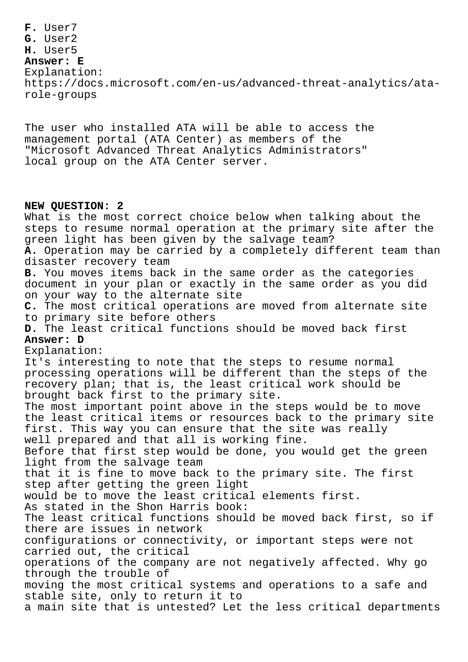**F.** User7 **G.** User2 **H.** User5 **Answer: E** Explanation: https://docs.microsoft.com/en-us/advanced-threat-analytics/atarole-groups

The user who installed ATA will be able to access the management portal (ATA Center) as members of the "Microsoft Advanced Threat Analytics Administrators" local group on the ATA Center server.

## **NEW QUESTION: 2**

What is the most correct choice below when talking about the steps to resume normal operation at the primary site after the green light has been given by the salvage team? **A.** Operation may be carried by a completely different team than disaster recovery team **B.** You moves items back in the same order as the categories document in your plan or exactly in the same order as you did on your way to the alternate site **C.** The most critical operations are moved from alternate site to primary site before others **D.** The least critical functions should be moved back first **Answer: D** Explanation: It's interesting to note that the steps to resume normal processing operations will be different than the steps of the recovery plan; that is, the least critical work should be brought back first to the primary site. The most important point above in the steps would be to move the least critical items or resources back to the primary site first. This way you can ensure that the site was really well prepared and that all is working fine. Before that first step would be done, you would get the green light from the salvage team that it is fine to move back to the primary site. The first step after getting the green light would be to move the least critical elements first. As stated in the Shon Harris book: The least critical functions should be moved back first, so if there are issues in network configurations or connectivity, or important steps were not carried out, the critical operations of the company are not negatively affected. Why go through the trouble of moving the most critical systems and operations to a safe and stable site, only to return it to a main site that is untested? Let the less critical departments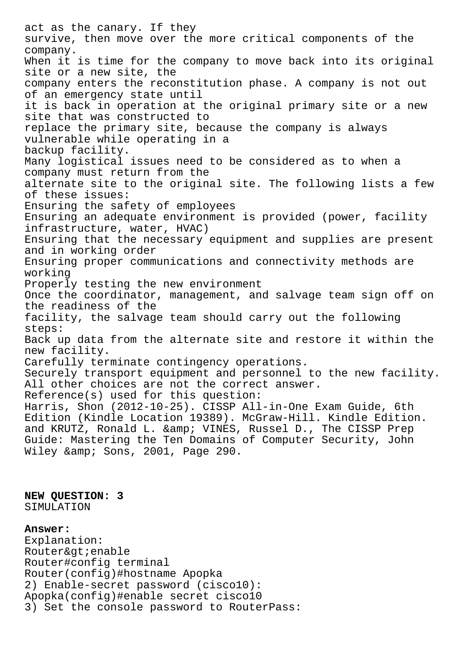act as the canary. If they survive, then move over the more critical components of the company. When it is time for the company to move back into its original site or a new site, the company enters the reconstitution phase. A company is not out of an emergency state until it is back in operation at the original primary site or a new site that was constructed to replace the primary site, because the company is always vulnerable while operating in a backup facility. Many logistical issues need to be considered as to when a company must return from the alternate site to the original site. The following lists a few of these issues: Ensuring the safety of employees Ensuring an adequate environment is provided (power, facility infrastructure, water, HVAC) Ensuring that the necessary equipment and supplies are present and in working order Ensuring proper communications and connectivity methods are working Properly testing the new environment Once the coordinator, management, and salvage team sign off on the readiness of the facility, the salvage team should carry out the following steps: Back up data from the alternate site and restore it within the new facility. Carefully terminate contingency operations. Securely transport equipment and personnel to the new facility. All other choices are not the correct answer. Reference(s) used for this question: Harris, Shon (2012-10-25). CISSP All-in-One Exam Guide, 6th Edition (Kindle Location 19389). McGraw-Hill. Kindle Edition. and KRUTZ, Ronald L. & amp; VINES, Russel D., The CISSP Prep Guide: Mastering the Ten Domains of Computer Security, John Wiley & amp; Sons, 2001, Page 290.

**NEW QUESTION: 3** SIMULATION

## **Answer:**

Explanation: Router&qt; enable Router#config terminal Router(config)#hostname Apopka 2) Enable-secret password (cisco10): Apopka(config)#enable secret cisco10 3) Set the console password to RouterPass: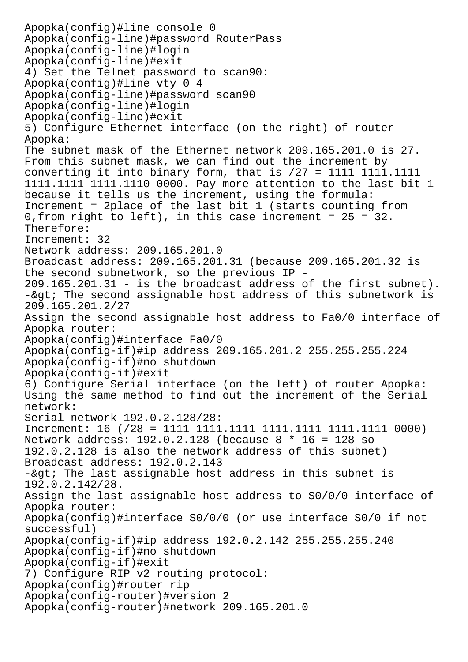Apopka(config)#line console 0 Apopka(config-line)#password RouterPass Apopka(config-line)#login Apopka(config-line)#exit 4) Set the Telnet password to scan90: Apopka(config)#line vty 0 4 Apopka(config-line)#password scan90 Apopka(config-line)#login Apopka(config-line)#exit 5) Configure Ethernet interface (on the right) of router Apopka: The subnet mask of the Ethernet network 209.165.201.0 is 27. From this subnet mask, we can find out the increment by converting it into binary form, that is /27 = 1111 1111.1111 1111.1111 1111.1110 0000. Pay more attention to the last bit 1 because it tells us the increment, using the formula: Increment = 2place of the last bit 1 (starts counting from 0,from right to left), in this case increment = 25 = 32. Therefore: Increment: 32 Network address: 209.165.201.0 Broadcast address: 209.165.201.31 (because 209.165.201.32 is the second subnetwork, so the previous IP - 209.165.201.31 - is the broadcast address of the first subnet).  $-$ &qt; The second assignable host address of this subnetwork is 209.165.201.2/27 Assign the second assignable host address to Fa0/0 interface of Apopka router: Apopka(config)#interface Fa0/0 Apopka(config-if)#ip address 209.165.201.2 255.255.255.224 Apopka(config-if)#no shutdown Apopka(config-if)#exit 6) Configure Serial interface (on the left) of router Apopka: Using the same method to find out the increment of the Serial network: Serial network 192.0.2.128/28: Increment: 16 (/28 = 1111 1111.1111 1111.1111 1111.1111 0000) Network address: 192.0.2.128 (because 8 \* 16 = 128 so 192.0.2.128 is also the network address of this subnet) Broadcast address: 192.0.2.143  $-\&$ gt; The last assignable host address in this subnet is 192.0.2.142/28. Assign the last assignable host address to S0/0/0 interface of Apopka router: Apopka(config)#interface S0/0/0 (or use interface S0/0 if not successful) Apopka(config-if)#ip address 192.0.2.142 255.255.255.240 Apopka(config-if)#no shutdown Apopka(config-if)#exit 7) Configure RIP v2 routing protocol: Apopka(config)#router rip Apopka(config-router)#version 2 Apopka(config-router)#network 209.165.201.0